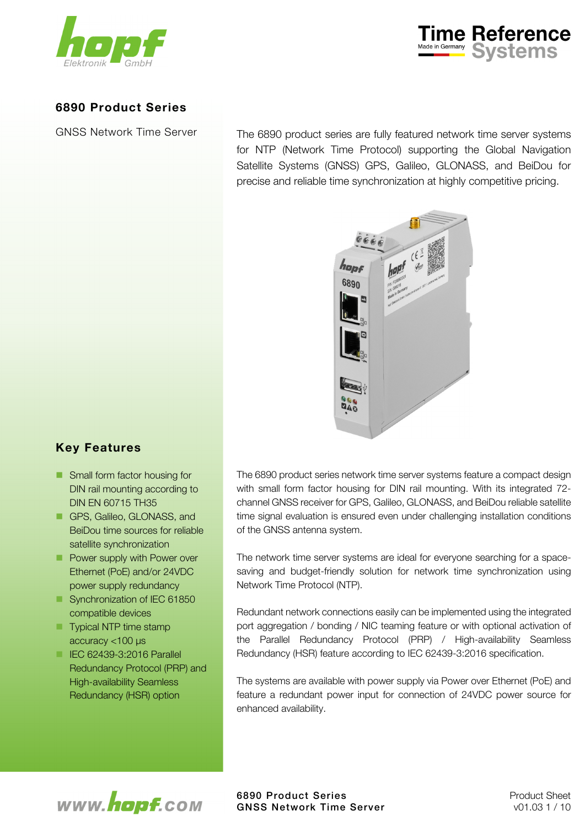



## 6890 Product Series

GNSS Network Time Server

The 6890 product series are fully featured network time server systems for NTP (Network Time Protocol) supporting the Global Navigation Satellite Systems (GNSS) GPS, Galileo, GLONASS, and BeiDou for precise and reliable time synchronization at highly competitive pricing.



# Key Features

- Small form factor housing for DIN rail mounting according to DIN EN 60715 TH35
- GPS, Galileo, GLONASS, and BeiDou time sources for reliable satellite synchronization
- **Power supply with Power over** Ethernet (PoE) and/or 24VDC power supply redundancy
- Synchronization of IEC 61850 compatible devices
- **Typical NTP time stamp** accuracy <100 μs
- **IEC 62439-3:2016 Parallel** Redundancy Protocol (PRP) and High-availability Seamless Redundancy (HSR) option

The 6890 product series network time server systems feature a compact design with small form factor housing for DIN rail mounting. With its integrated 72 channel GNSS receiver for GPS, Galileo, GLONASS, and BeiDou reliable satellite time signal evaluation is ensured even under challenging installation conditions of the GNSS antenna system.

The network time server systems are ideal for everyone searching for a spacesaving and budget-friendly solution for network time synchronization using Network Time Protocol (NTP).

Redundant network connections easily can be implemented using the integrated port aggregation / bonding / NIC teaming feature or with optional activation of the Parallel Redundancy Protocol (PRP) / High-availability Seamless Redundancy (HSR) feature according to IEC 62439-3:2016 specification.

The systems are available with power supply via Power over Ethernet (PoE) and feature a redundant power input for connection of 24VDC power source for enhanced availability.

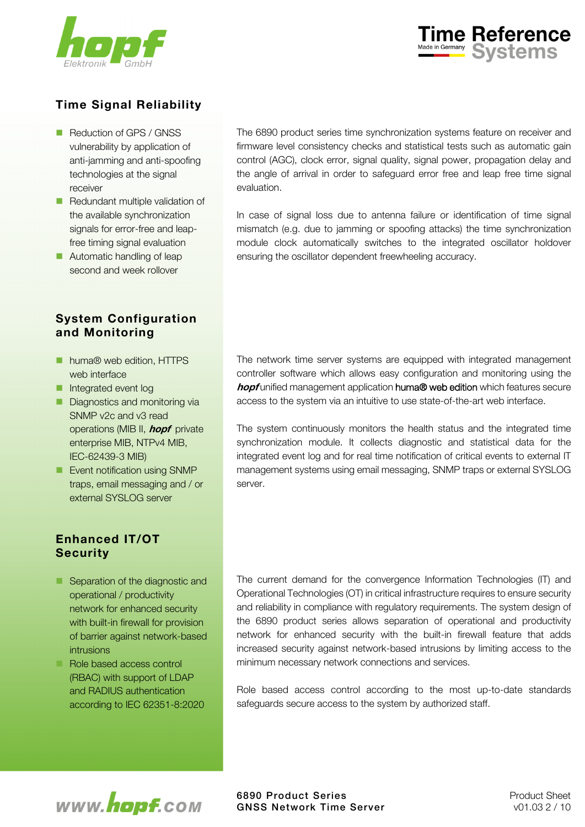



# Time Signal Reliability

- Reduction of GPS / GNSS vulnerability by application of anti-jamming and anti-spoofing technologies at the signal receiver
- Redundant multiple validation of the available synchronization signals for error-free and leapfree timing signal evaluation
- **Automatic handling of leap** second and week rollover

# System Configuration and Monitoring

- huma<sup>®</sup> web edition, HTTPS web interface
- **Integrated event log**
- Diagnostics and monitoring via SNMP v2c and v3 read operations (MIB II, **hopf** private enterprise MIB, NTPv4 MIB, IEC-62439-3 MIB)
- **Event notification using SNMP** traps, email messaging and / or external SYSLOG server

# Enhanced IT/OT **Security**

- Separation of the diagnostic and operational / productivity network for enhanced security with built-in firewall for provision of barrier against network-based intrusions
- Role based access control (RBAC) with support of LDAP and RADIUS authentication according to IEC 62351-8:2020

The 6890 product series time synchronization systems feature on receiver and firmware level consistency checks and statistical tests such as automatic gain control (AGC), clock error, signal quality, signal power, propagation delay and the angle of arrival in order to safeguard error free and leap free time signal evaluation.

In case of signal loss due to antenna failure or identification of time signal mismatch (e.g. due to jamming or spoofing attacks) the time synchronization module clock automatically switches to the integrated oscillator holdover ensuring the oscillator dependent freewheeling accuracy.

The network time server systems are equipped with integrated management controller software which allows easy configuration and monitoring using the hopf unified management application huma<sup>®</sup> web edition which features secure access to the system via an intuitive to use state-of-the-art web interface.

The system continuously monitors the health status and the integrated time synchronization module. It collects diagnostic and statistical data for the integrated event log and for real time notification of critical events to external IT management systems using email messaging, SNMP traps or external SYSLOG server.

The current demand for the convergence Information Technologies (IT) and Operational Technologies (OT) in critical infrastructure requires to ensure security and reliability in compliance with regulatory requirements. The system design of the 6890 product series allows separation of operational and productivity network for enhanced security with the built-in firewall feature that adds increased security against network-based intrusions by limiting access to the minimum necessary network connections and services.

Role based access control according to the most up-to-date standards safeguards secure access to the system by authorized staff.

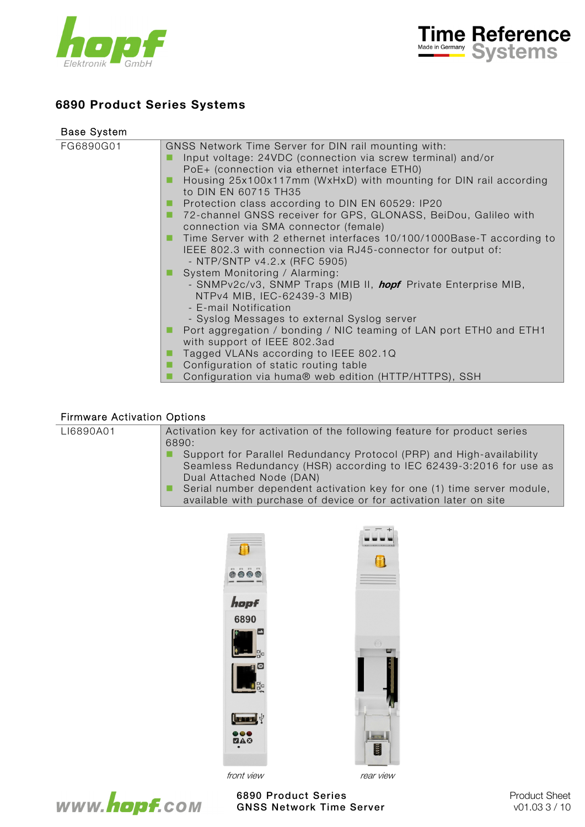



# 6890 Product Series Systems

| <b>Base System</b> |                                                                                                                                                                                                                                                                                                                               |
|--------------------|-------------------------------------------------------------------------------------------------------------------------------------------------------------------------------------------------------------------------------------------------------------------------------------------------------------------------------|
| FG6890G01          | GNSS Network Time Server for DIN rail mounting with:<br>Input voltage: 24VDC (connection via screw terminal) and/or<br>PoE+ (connection via ethernet interface ETH0)<br>Housing 25x100x117mm (WxHxD) with mounting for DIN rail according                                                                                     |
|                    | to DIN EN 60715 TH35<br>Protection class according to DIN EN 60529: IP20<br>72-channel GNSS receiver for GPS, GLONASS, BeiDou, Galileo with<br>connection via SMA connector (female)<br>Time Server with 2 ethernet interfaces 10/100/1000Base-T according to<br>IEEE 802.3 with connection via RJ45-connector for output of: |
|                    | - NTP/SNTP v4.2.x (RFC 5905)<br>System Monitoring / Alarming:<br>- SNMPv2c/v3, SNMP Traps (MIB II, <i>hopf</i> Private Enterprise MIB,<br>NTPv4 MIB, IEC-62439-3 MIB)<br>- E-mail Notification<br>- Syslog Messages to external Syslog server                                                                                 |
|                    | Port aggregation / bonding / NIC teaming of LAN port ETH0 and ETH1<br>with support of IEEE 802.3ad<br>Tagged VLANs according to IEEE 802.1Q<br>Configuration of static routing table<br>Configuration via huma® web edition (HTTP/HTTPS), SSH                                                                                 |

### Firmware Activation Options

| LI6890A01 | Activation key for activation of the following feature for product series<br>6890:                                                                                                                                                               |
|-----------|--------------------------------------------------------------------------------------------------------------------------------------------------------------------------------------------------------------------------------------------------|
|           | Support for Parallel Redundancy Protocol (PRP) and High-availability<br>Seamless Redundancy (HSR) according to IEC 62439-3:2016 for use as<br>Dual Attached Node (DAN)<br>Serial number dependent activation key for one (1) time server module, |

available with purchase of device or for activation later on site

| $\blacksquare$<br>$\Box$<br>m<br>m<br> |           |
|----------------------------------------|-----------|
| hopf                                   |           |
| 6890                                   |           |
| ه<br>멻                                 | $\circ$   |
| $\bullet$<br>멻                         |           |
|                                        |           |
| Ių<br><b>Lease</b>                     |           |
| 0.00                                   | E         |
| front view                             | rear view |



6890 Product Series **Product Sheet** Product Sheet GNSS Network Time Server v01.03 3/10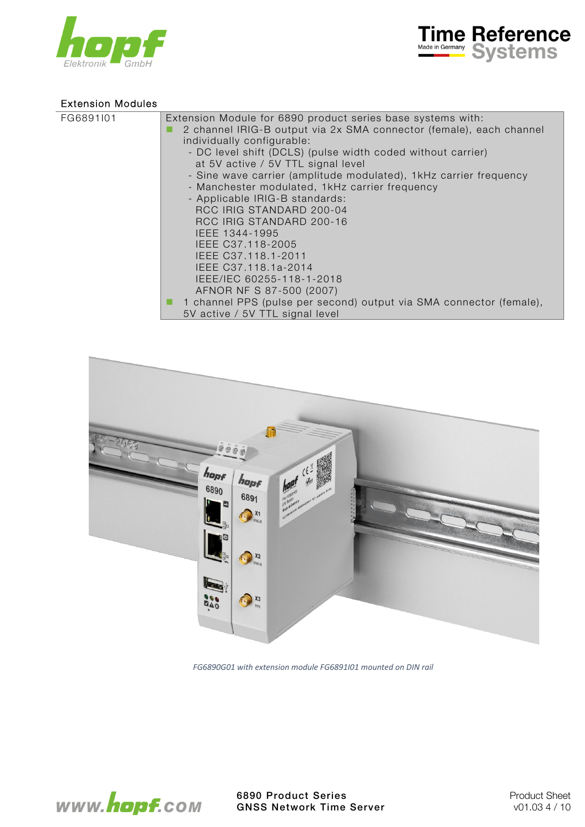



## Extension Modules

| FG6891I01<br>Extension Module for 6890 product series base systems with:<br>2 channel IRIG-B output via 2x SMA connector (female), each channel<br>individually configurable:<br>- DC level shift (DCLS) (pulse width coded without carrier)<br>at 5V active / 5V TTL signal level<br>- Sine wave carrier (amplitude modulated), 1kHz carrier frequency        |
|----------------------------------------------------------------------------------------------------------------------------------------------------------------------------------------------------------------------------------------------------------------------------------------------------------------------------------------------------------------|
| - Manchester modulated, 1kHz carrier frequency<br>- Applicable IRIG-B standards:<br>RCC IRIG STANDARD 200-04<br>RCC IRIG STANDARD 200-16<br>IEEE 1344-1995<br>IEEE C37.118-2005<br>IEEE C37.118.1-2011<br>IEEE C37.118.1a-2014<br>IEEE/IEC 60255-118-1-2018<br>AFNOR NF S 87-500 (2007)<br>1 channel PPS (pulse per second) output via SMA connector (female), |
| 5V active / 5V TTL signal level                                                                                                                                                                                                                                                                                                                                |



*FG6890G01 with extension module FG6891I01 mounted on DIN rail* 

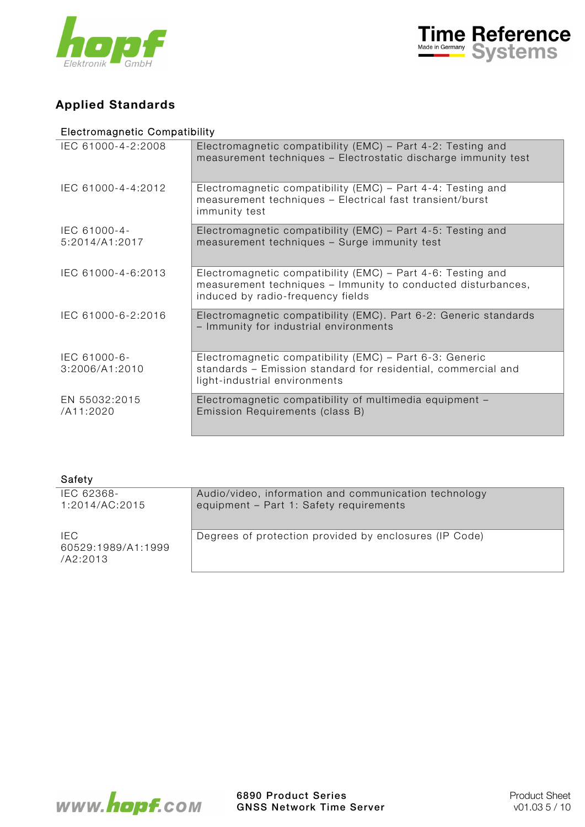



# Applied Standards

# Electromagnetic Compatibility

| IEC 61000-4-2:2008             | Electromagnetic compatibility (EMC) - Part 4-2: Testing and<br>measurement techniques - Electrostatic discharge immunity test                                    |
|--------------------------------|------------------------------------------------------------------------------------------------------------------------------------------------------------------|
| IEC 61000-4-4:2012             | Electromagnetic compatibility (EMC) – Part 4-4: Testing and<br>measurement techniques - Electrical fast transient/burst<br>immunity test                         |
| IEC 61000-4-<br>5:2014/A1:2017 | Electromagnetic compatibility (EMC) - Part 4-5: Testing and<br>measurement techniques - Surge immunity test                                                      |
| IEC 61000-4-6:2013             | Electromagnetic compatibility (EMC) – Part 4-6: Testing and<br>measurement techniques - Immunity to conducted disturbances,<br>induced by radio-frequency fields |
| IEC 61000-6-2:2016             | Electromagnetic compatibility (EMC). Part 6-2: Generic standards<br>- Immunity for industrial environments                                                       |
| IEC 61000-6-<br>3:2006/A1:2010 | Electromagnetic compatibility (EMC) - Part 6-3: Generic<br>standards - Emission standard for residential, commercial and<br>light-industrial environments        |
| EN 55032:2015<br>/A11:2020     | Electromagnetic compatibility of multimedia equipment -<br>Emission Requirements (class B)                                                                       |

| Safety                                 |                                                                                                  |
|----------------------------------------|--------------------------------------------------------------------------------------------------|
| IEC 62368-<br>1:2014/AC:2015           | Audio/video, information and communication technology<br>equipment - Part 1: Safety requirements |
| IEC.<br>60529:1989/A1:1999<br>/A2:2013 | Degrees of protection provided by enclosures (IP Code)                                           |

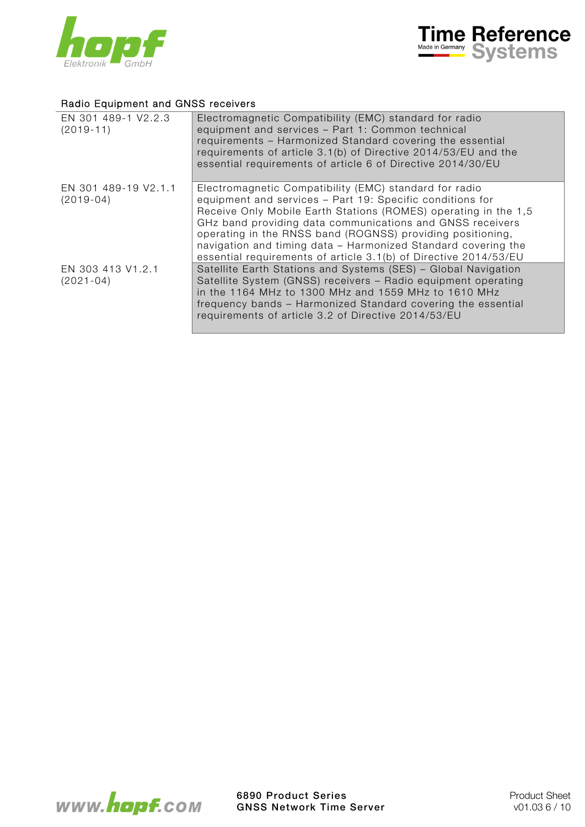



## Radio Equipment and GNSS receivers

| EN 301 489-1 V2.2.3<br>$(2019-11)$  | Electromagnetic Compatibility (EMC) standard for radio<br>equipment and services - Part 1: Common technical<br>requirements - Harmonized Standard covering the essential<br>requirements of article 3.1(b) of Directive 2014/53/EU and the<br>essential requirements of article 6 of Directive 2014/30/EU                                                                                                                                              |
|-------------------------------------|--------------------------------------------------------------------------------------------------------------------------------------------------------------------------------------------------------------------------------------------------------------------------------------------------------------------------------------------------------------------------------------------------------------------------------------------------------|
| EN 301 489-19 V2.1.1<br>$(2019-04)$ | Electromagnetic Compatibility (EMC) standard for radio<br>equipment and services - Part 19: Specific conditions for<br>Receive Only Mobile Earth Stations (ROMES) operating in the 1,5<br>GHz band providing data communications and GNSS receivers<br>operating in the RNSS band (ROGNSS) providing positioning,<br>navigation and timing data - Harmonized Standard covering the<br>essential requirements of article 3.1(b) of Directive 2014/53/EU |
| EN 303 413 V1.2.1<br>$(2021 - 04)$  | Satellite Earth Stations and Systems (SES) - Global Navigation<br>Satellite System (GNSS) receivers - Radio equipment operating<br>in the 1164 MHz to 1300 MHz and 1559 MHz to 1610 MHz<br>frequency bands - Harmonized Standard covering the essential<br>requirements of article 3.2 of Directive 2014/53/EU                                                                                                                                         |

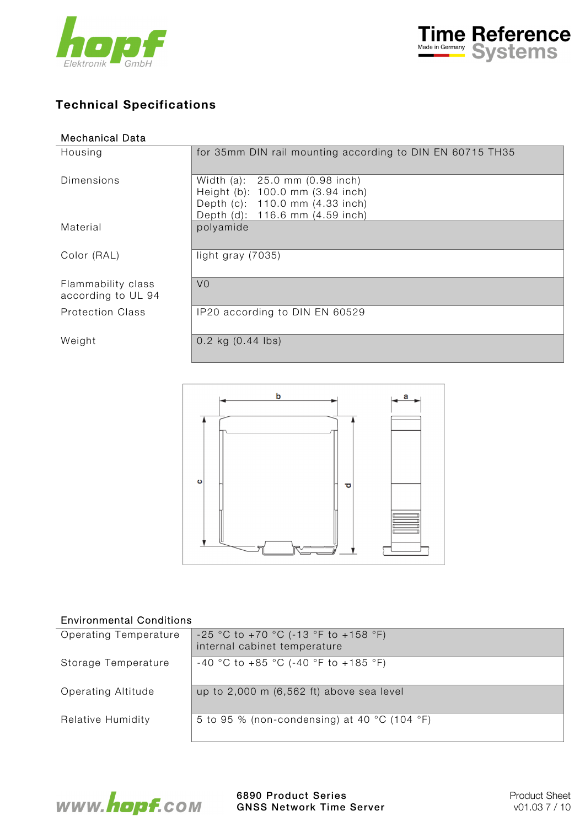



# Technical Specifications

| <b>Mechanical Data</b>                   |                                                                                                                                          |
|------------------------------------------|------------------------------------------------------------------------------------------------------------------------------------------|
| Housing                                  | for 35mm DIN rail mounting according to DIN EN 60715 TH35                                                                                |
| Dimensions                               | Width (a): 25.0 mm (0.98 inch)<br>Height (b): 100.0 mm (3.94 inch)<br>Depth (c): 110.0 mm (4.33 inch)<br>Depth (d): 116.6 mm (4.59 inch) |
| Material                                 | polyamide                                                                                                                                |
| Color (RAL)                              | light gray $(7035)$                                                                                                                      |
| Flammability class<br>according to UL 94 | V <sub>0</sub>                                                                                                                           |
| <b>Protection Class</b>                  | IP20 according to DIN EN 60529                                                                                                           |
| Weight                                   | $0.2$ kg $(0.44$ lbs)                                                                                                                    |



## Environmental Conditions

| Operating Temperature | $-25$ °C to $+70$ °C (-13 °F to $+158$ °F)<br>internal cabinet temperature |
|-----------------------|----------------------------------------------------------------------------|
| Storage Temperature   | -40 °C to +85 °C (-40 °F to +185 °F)                                       |
| Operating Altitude    | up to 2,000 m (6,562 ft) above sea level                                   |
| Relative Humidity     | 5 to 95 % (non-condensing) at 40 °C (104 °F)                               |

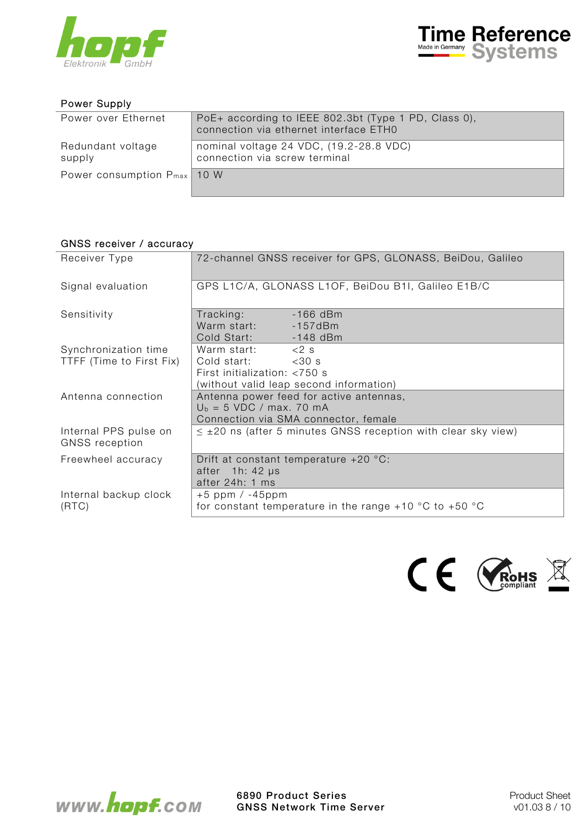



#### Power Supply

| Power over Ethernet              | PoE+ according to IEEE 802.3bt (Type 1 PD, Class 0),<br>connection via ethernet interface ETH0 |
|----------------------------------|------------------------------------------------------------------------------------------------|
| Redundant voltage<br>supply      | nominal voltage 24 VDC, (19.2-28.8 VDC)<br>connection via screw terminal                       |
| Power consumption $P_{max}$ 10 W |                                                                                                |

#### GNSS receiver / accuracy

| Receiver Type                                    | 72-channel GNSS receiver for GPS, GLONASS, BeiDou, Galileo                                                                   |
|--------------------------------------------------|------------------------------------------------------------------------------------------------------------------------------|
| Signal evaluation                                | GPS L1C/A, GLONASS L1OF, BeiDou B1I, Galileo E1B/C                                                                           |
| Sensitivity                                      | Tracking:<br>Warm start: - 157dBm<br>Cold Start: -148 dBm                                                                    |
| Synchronization time<br>TTFF (Time to First Fix) | Warm start: $<$ 2 s<br>Cold start:<br>$<$ 30 s<br>First initialization: $<$ 750 s<br>(without valid leap second information) |
| Antenna connection                               | Antenna power feed for active antennas,<br>$U_b = 5 \text{ VDC}$ / max. 70 mA<br>Connection via SMA connector, female        |
| Internal PPS pulse on<br><b>GNSS</b> reception   | $\leq$ ±20 ns (after 5 minutes GNSS reception with clear sky view)                                                           |
| Freewheel accuracy                               | Drift at constant temperature $+20$ °C:<br>after 1h: 42 µs<br>after 24h: 1 ms                                                |
| Internal backup clock<br>(RTC)                   | $+5$ ppm / $-45$ ppm<br>for constant temperature in the range +10 $^{\circ}$ C to +50 $^{\circ}$ C                           |



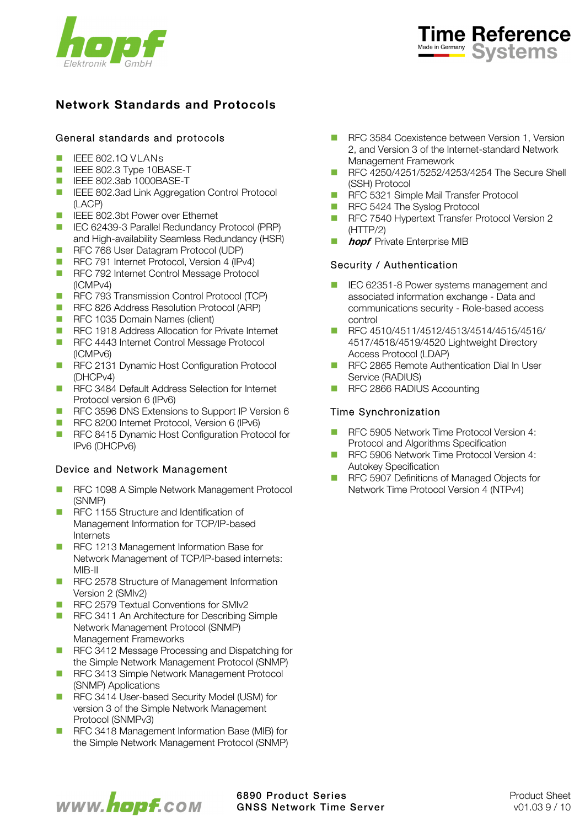



# Network Standards and Protocols

## General standards and protocols

- **IEEE 802.1Q VLANS**
- **IEEE 802.3 Type 10BASE-T**
- **IEEE 802.3ab 1000BASE-T**
- **IEEE 802.3ad Link Aggregation Control Protocol** (LACP)
- **IEEE 802.3bt Power over Ethernet**
- IEC 62439-3 Parallel Redundancy Protocol (PRP) and High-availability Seamless Redundancy (HSR)
- RFC 768 User Datagram Protocol (UDP)
- RFC 791 Internet Protocol, Version 4 (IPv4)
- RFC 792 Internet Control Message Protocol (ICMPv4)
- **RFC 793 Transmission Control Protocol (TCP)**
- RFC 826 Address Resolution Protocol (ARP)
- **RFC 1035 Domain Names (client)**
- **RFC 1918 Address Allocation for Private Internet**
- RFC 4443 Internet Control Message Protocol (ICMPv6)
- **RFC 2131 Dynamic Host Configuration Protocol** (DHCPv4)
- RFC 3484 Default Address Selection for Internet Protocol version 6 (IPv6)
- RFC 3596 DNS Extensions to Support IP Version 6
- RFC 8200 Internet Protocol, Version 6 (IPv6)
- RFC 8415 Dynamic Host Configuration Protocol for IPv6 (DHCPv6)

## Device and Network Management

- **RFC 1098 A Simple Network Management Protocol** (SNMP)
- **RFC 1155 Structure and Identification of** Management Information for TCP/IP-based Internets
- RFC 1213 Management Information Base for Network Management of TCP/IP-based internets: MIB-II
- **RFC 2578 Structure of Management Information** Version 2 (SMIv2)
- RFC 2579 Textual Conventions for SMIv2
- RFC 3411 An Architecture for Describing Simple Network Management Protocol (SNMP) Management Frameworks
- RFC 3412 Message Processing and Dispatching for the Simple Network Management Protocol (SNMP)
- RFC 3413 Simple Network Management Protocol (SNMP) Applications
- RFC 3414 User-based Security Model (USM) for version 3 of the Simple Network Management Protocol (SNMPv3)
- RFC 3418 Management Information Base (MIB) for the Simple Network Management Protocol (SNMP)
- **RFC 3584 Coexistence between Version 1, Version** 2, and Version 3 of the Internet-standard Network Management Framework
- RFC 4250/4251/5252/4253/4254 The Secure Shell (SSH) Protocol
- **RFC 5321 Simple Mail Transfer Protocol**
- RFC 5424 The Syslog Protocol
- RFC 7540 Hypertext Transfer Protocol Version 2 (HTTP/2)
- **hopf** Private Enterprise MIB

## Security / Authentication

- IEC 62351-8 Power systems management and associated information exchange - Data and communications security - Role-based access control
- RFC 4510/4511/4512/4513/4514/4515/4516/ 4517/4518/4519/4520 Lightweight Directory Access Protocol (LDAP)
- RFC 2865 Remote Authentication Dial In User Service (RADIUS)
- RFC 2866 RADIUS Accounting

### Time Synchronization

- RFC 5905 Network Time Protocol Version 4: Protocol and Algorithms Specification
- RFC 5906 Network Time Protocol Version 4: Autokey Specification
- RFC 5907 Definitions of Managed Objects for Network Time Protocol Version 4 (NTPv4)